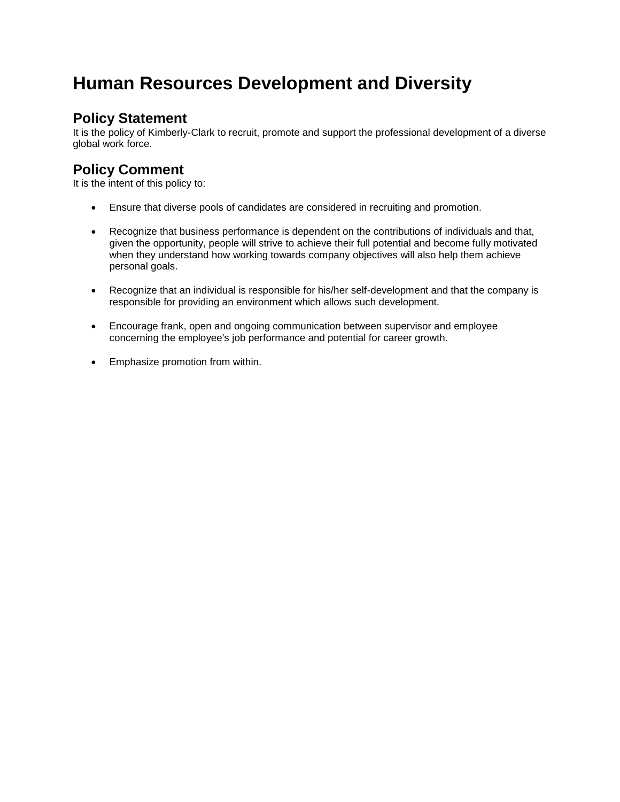# **Human Resources Development and Diversity**

## **Policy Statement**

It is the policy of Kimberly-Clark to recruit, promote and support the professional development of a diverse global work force.

## **Policy Comment**

It is the intent of this policy to:

- Ensure that diverse pools of candidates are considered in recruiting and promotion.
- Recognize that business performance is dependent on the contributions of individuals and that, given the opportunity, people will strive to achieve their full potential and become fully motivated when they understand how working towards company objectives will also help them achieve personal goals.
- Recognize that an individual is responsible for his/her self-development and that the company is responsible for providing an environment which allows such development.
- Encourage frank, open and ongoing communication between supervisor and employee concerning the employee's job performance and potential for career growth.
- Emphasize promotion from within.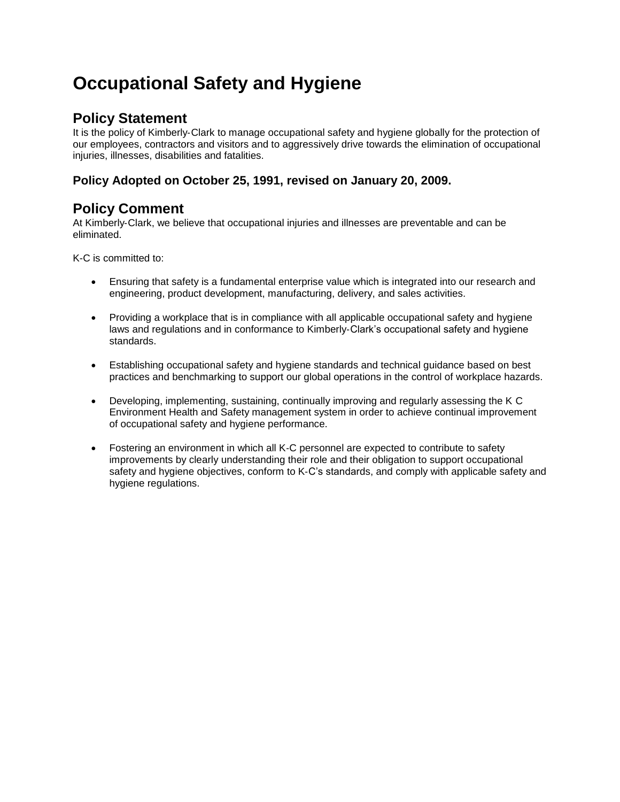# **Occupational Safety and Hygiene**

## **Policy Statement**

It is the policy of Kimberly‐Clark to manage occupational safety and hygiene globally for the protection of our employees, contractors and visitors and to aggressively drive towards the elimination of occupational injuries, illnesses, disabilities and fatalities.

### **Policy Adopted on October 25, 1991, revised on January 20, 2009.**

## **Policy Comment**

At Kimberly‐Clark, we believe that occupational injuries and illnesses are preventable and can be eliminated.

K-C is committed to:

- Ensuring that safety is a fundamental enterprise value which is integrated into our research and engineering, product development, manufacturing, delivery, and sales activities.
- Providing a workplace that is in compliance with all applicable occupational safety and hygiene laws and regulations and in conformance to Kimberly‐Clark's occupational safety and hygiene standards.
- Establishing occupational safety and hygiene standards and technical guidance based on best practices and benchmarking to support our global operations in the control of workplace hazards.
- Developing, implementing, sustaining, continually improving and regularly assessing the K C Environment Health and Safety management system in order to achieve continual improvement of occupational safety and hygiene performance.
- Fostering an environment in which all K‐C personnel are expected to contribute to safety improvements by clearly understanding their role and their obligation to support occupational safety and hygiene objectives, conform to K‐C's standards, and comply with applicable safety and hygiene regulations.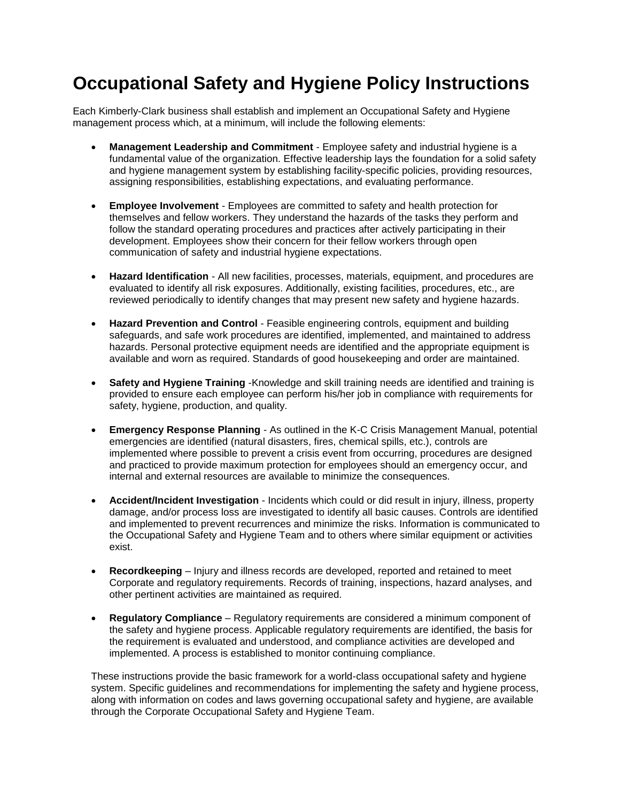## **Occupational Safety and Hygiene Policy Instructions**

Each Kimberly-Clark business shall establish and implement an Occupational Safety and Hygiene management process which, at a minimum, will include the following elements:

- **Management Leadership and Commitment**  Employee safety and industrial hygiene is a fundamental value of the organization. Effective leadership lays the foundation for a solid safety and hygiene management system by establishing facility-specific policies, providing resources, assigning responsibilities, establishing expectations, and evaluating performance.
- **Employee Involvement**  Employees are committed to safety and health protection for themselves and fellow workers. They understand the hazards of the tasks they perform and follow the standard operating procedures and practices after actively participating in their development. Employees show their concern for their fellow workers through open communication of safety and industrial hygiene expectations.
- **Hazard Identification**  All new facilities, processes, materials, equipment, and procedures are evaluated to identify all risk exposures. Additionally, existing facilities, procedures, etc., are reviewed periodically to identify changes that may present new safety and hygiene hazards.
- **Hazard Prevention and Control**  Feasible engineering controls, equipment and building safeguards, and safe work procedures are identified, implemented, and maintained to address hazards. Personal protective equipment needs are identified and the appropriate equipment is available and worn as required. Standards of good housekeeping and order are maintained.
- **Safety and Hygiene Training** -Knowledge and skill training needs are identified and training is provided to ensure each employee can perform his/her job in compliance with requirements for safety, hygiene, production, and quality.
- **Emergency Response Planning**  As outlined in the K-C Crisis Management Manual, potential emergencies are identified (natural disasters, fires, chemical spills, etc.), controls are implemented where possible to prevent a crisis event from occurring, procedures are designed and practiced to provide maximum protection for employees should an emergency occur, and internal and external resources are available to minimize the consequences.
- **Accident/Incident Investigation**  Incidents which could or did result in injury, illness, property damage, and/or process loss are investigated to identify all basic causes. Controls are identified and implemented to prevent recurrences and minimize the risks. Information is communicated to the Occupational Safety and Hygiene Team and to others where similar equipment or activities exist.
- **Recordkeeping**  Injury and illness records are developed, reported and retained to meet Corporate and regulatory requirements. Records of training, inspections, hazard analyses, and other pertinent activities are maintained as required.
- **Regulatory Compliance**  Regulatory requirements are considered a minimum component of the safety and hygiene process. Applicable regulatory requirements are identified, the basis for the requirement is evaluated and understood, and compliance activities are developed and implemented. A process is established to monitor continuing compliance.

These instructions provide the basic framework for a world-class occupational safety and hygiene system. Specific guidelines and recommendations for implementing the safety and hygiene process, along with information on codes and laws governing occupational safety and hygiene, are available through the Corporate Occupational Safety and Hygiene Team.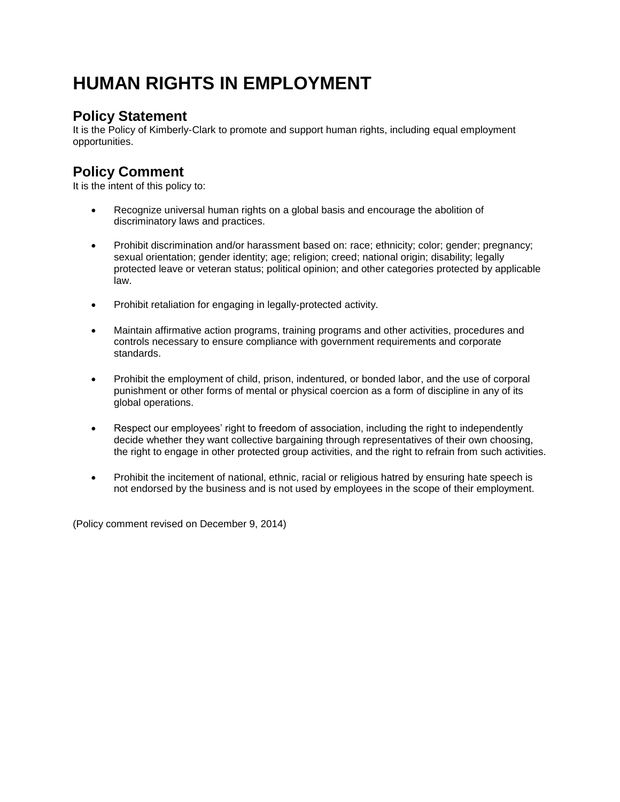# **HUMAN RIGHTS IN EMPLOYMENT**

## **Policy Statement**

It is the Policy of Kimberly-Clark to promote and support human rights, including equal employment opportunities.

## **Policy Comment**

It is the intent of this policy to:

- Recognize universal human rights on a global basis and encourage the abolition of discriminatory laws and practices.
- Prohibit discrimination and/or harassment based on: race; ethnicity; color; gender; pregnancy; sexual orientation; gender identity; age; religion; creed; national origin; disability; legally protected leave or veteran status; political opinion; and other categories protected by applicable law.
- Prohibit retaliation for engaging in legally-protected activity.
- Maintain affirmative action programs, training programs and other activities, procedures and controls necessary to ensure compliance with government requirements and corporate standards.
- Prohibit the employment of child, prison, indentured, or bonded labor, and the use of corporal punishment or other forms of mental or physical coercion as a form of discipline in any of its global operations.
- Respect our employees' right to freedom of association, including the right to independently decide whether they want collective bargaining through representatives of their own choosing, the right to engage in other protected group activities, and the right to refrain from such activities.
- Prohibit the incitement of national, ethnic, racial or religious hatred by ensuring hate speech is not endorsed by the business and is not used by employees in the scope of their employment.

(Policy comment revised on December 9, 2014)